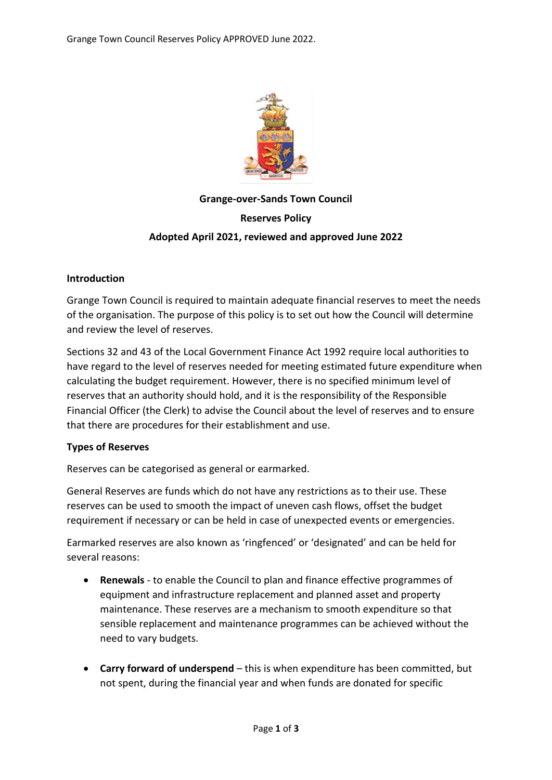

# **Grange-over-Sands Town Council Reserves Policy Adopted April 2021, reviewed and approved June 2022**

## **Introduction**

Grange Town Council is required to maintain adequate financial reserves to meet the needs of the organisation. The purpose of this policy is to set out how the Council will determine and review the level of reserves.

Sections 32 and 43 of the Local Government Finance Act 1992 require local authorities to have regard to the level of reserves needed for meeting estimated future expenditure when calculating the budget requirement. However, there is no specified minimum level of reserves that an authority should hold, and it is the responsibility of the Responsible Financial Officer (the Clerk) to advise the Council about the level of reserves and to ensure that there are procedures for their establishment and use.

## **Types of Reserves**

Reserves can be categorised as general or earmarked.

General Reserves are funds which do not have any restrictions as to their use. These reserves can be used to smooth the impact of uneven cash flows, offset the budget requirement if necessary or can be held in case of unexpected events or emergencies.

Earmarked reserves are also known as 'ringfenced' or 'designated' and can be held for several reasons:

- **Renewals** to enable the Council to plan and finance effective programmes of equipment and infrastructure replacement and planned asset and property maintenance. These reserves are a mechanism to smooth expenditure so that sensible replacement and maintenance programmes can be achieved without the need to vary budgets.
- **Carry forward of underspend** this is when expenditure has been committed, but not spent, during the financial year and when funds are donated for specific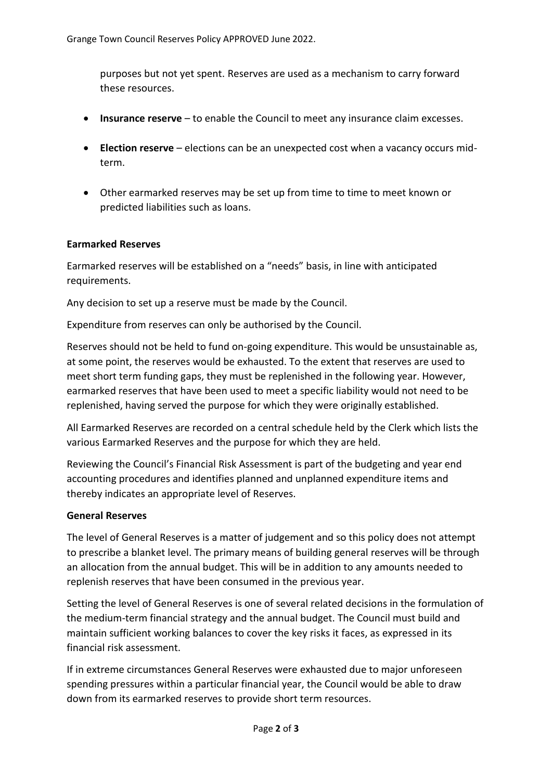purposes but not yet spent. Reserves are used as a mechanism to carry forward these resources.

- **Insurance reserve** to enable the Council to meet any insurance claim excesses.
- **Election reserve** elections can be an unexpected cost when a vacancy occurs midterm.
- Other earmarked reserves may be set up from time to time to meet known or predicted liabilities such as loans.

### **Earmarked Reserves**

Earmarked reserves will be established on a "needs" basis, in line with anticipated requirements.

Any decision to set up a reserve must be made by the Council.

Expenditure from reserves can only be authorised by the Council.

Reserves should not be held to fund on-going expenditure. This would be unsustainable as, at some point, the reserves would be exhausted. To the extent that reserves are used to meet short term funding gaps, they must be replenished in the following year. However, earmarked reserves that have been used to meet a specific liability would not need to be replenished, having served the purpose for which they were originally established.

All Earmarked Reserves are recorded on a central schedule held by the Clerk which lists the various Earmarked Reserves and the purpose for which they are held.

Reviewing the Council's Financial Risk Assessment is part of the budgeting and year end accounting procedures and identifies planned and unplanned expenditure items and thereby indicates an appropriate level of Reserves.

#### **General Reserves**

The level of General Reserves is a matter of judgement and so this policy does not attempt to prescribe a blanket level. The primary means of building general reserves will be through an allocation from the annual budget. This will be in addition to any amounts needed to replenish reserves that have been consumed in the previous year.

Setting the level of General Reserves is one of several related decisions in the formulation of the medium-term financial strategy and the annual budget. The Council must build and maintain sufficient working balances to cover the key risks it faces, as expressed in its financial risk assessment.

If in extreme circumstances General Reserves were exhausted due to major unforeseen spending pressures within a particular financial year, the Council would be able to draw down from its earmarked reserves to provide short term resources.